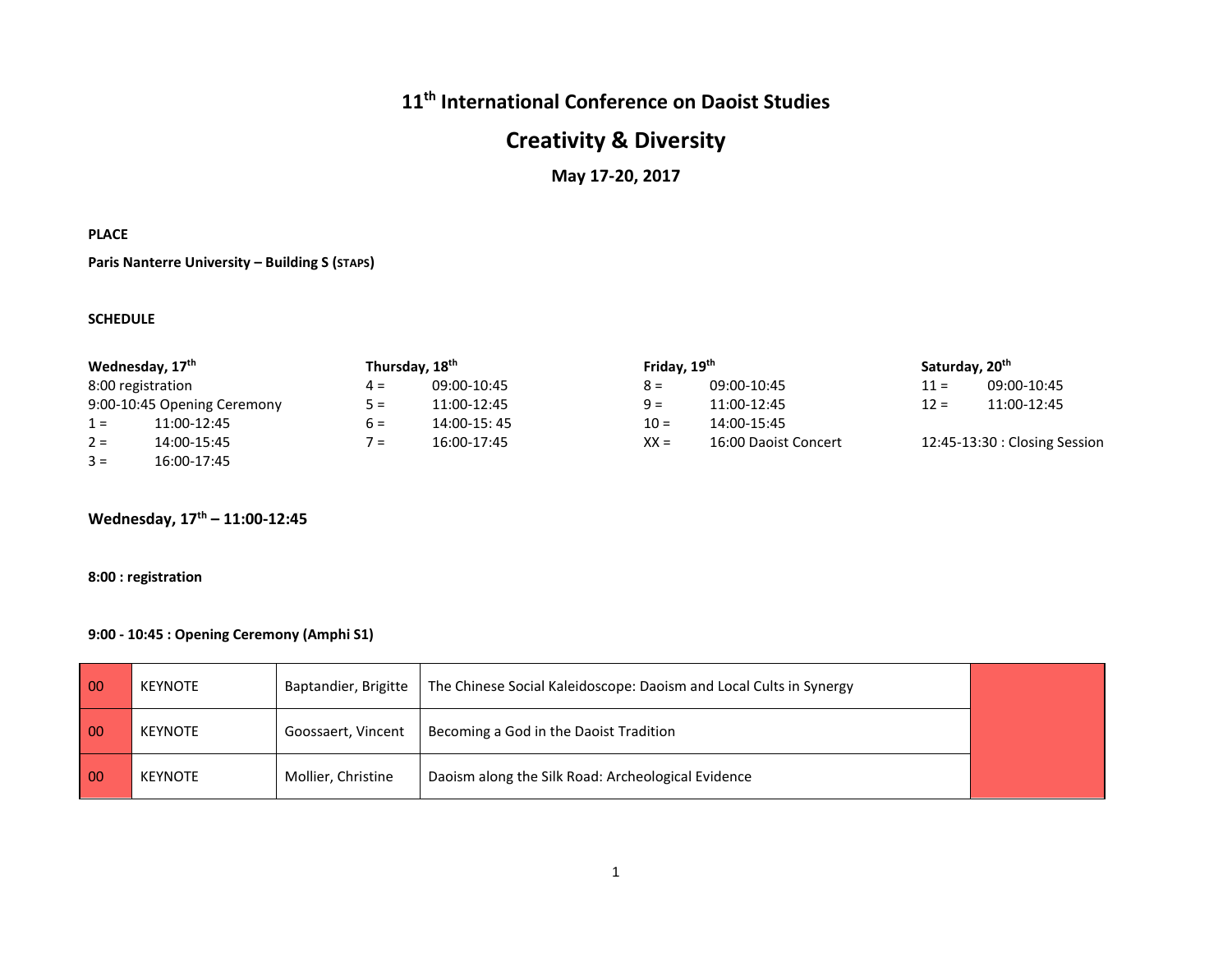# **11th International Conference on Daoist Studies**

# **Creativity & Diversity**

#### **May 17-20, 2017**

#### **PLACE**

**Paris Nanterre University – Building S (STAPS)**

#### **SCHEDULE**

| Wednesday, 17 <sup>th</sup> |                   |       | Thursday, 18 <sup>th</sup> |        | Friday, 19 <sup>th</sup> |        | Saturday, 20 <sup>th</sup>    |  |
|-----------------------------|-------------------|-------|----------------------------|--------|--------------------------|--------|-------------------------------|--|
|                             | 8:00 registration | $4 =$ | 09:00-10:45                | $8 =$  | 09:00-10:45              | $11 =$ | 09:00-10:45                   |  |
| 9:00-10:45 Opening Ceremony |                   | $5 =$ | 11:00-12:45                | $9 =$  | 11:00-12:45              | $12 =$ | 11:00-12:45                   |  |
| $1 =$                       | 11:00-12:45       | 6 =   | 14:00-15:45                | $10 =$ | 14:00-15:45              |        |                               |  |
| $2 =$                       | 14:00-15:45       | $7 =$ | 16:00-17:45                | $XX =$ | 16:00 Daoist Concert     |        | 12:45-13:30 : Closing Session |  |
| $3 =$                       | 16:00-17:45       |       |                            |        |                          |        |                               |  |

#### **Wednesday, 17th – 11:00-12:45**

#### **8:00 : registration**

#### **9:00 - 10:45 : Opening Ceremony (Amphi S1)**

| $\overline{00}$ | <b>KEYNOTE</b> | Baptandier, Brigitte | The Chinese Social Kaleidoscope: Daoism and Local Cults in Synergy |  |
|-----------------|----------------|----------------------|--------------------------------------------------------------------|--|
| $\overline{00}$ | <b>KEYNOTE</b> | Goossaert, Vincent   | Becoming a God in the Daoist Tradition                             |  |
| $\overline{00}$ | <b>KEYNOTE</b> | Mollier, Christine   | Daoism along the Silk Road: Archeological Evidence                 |  |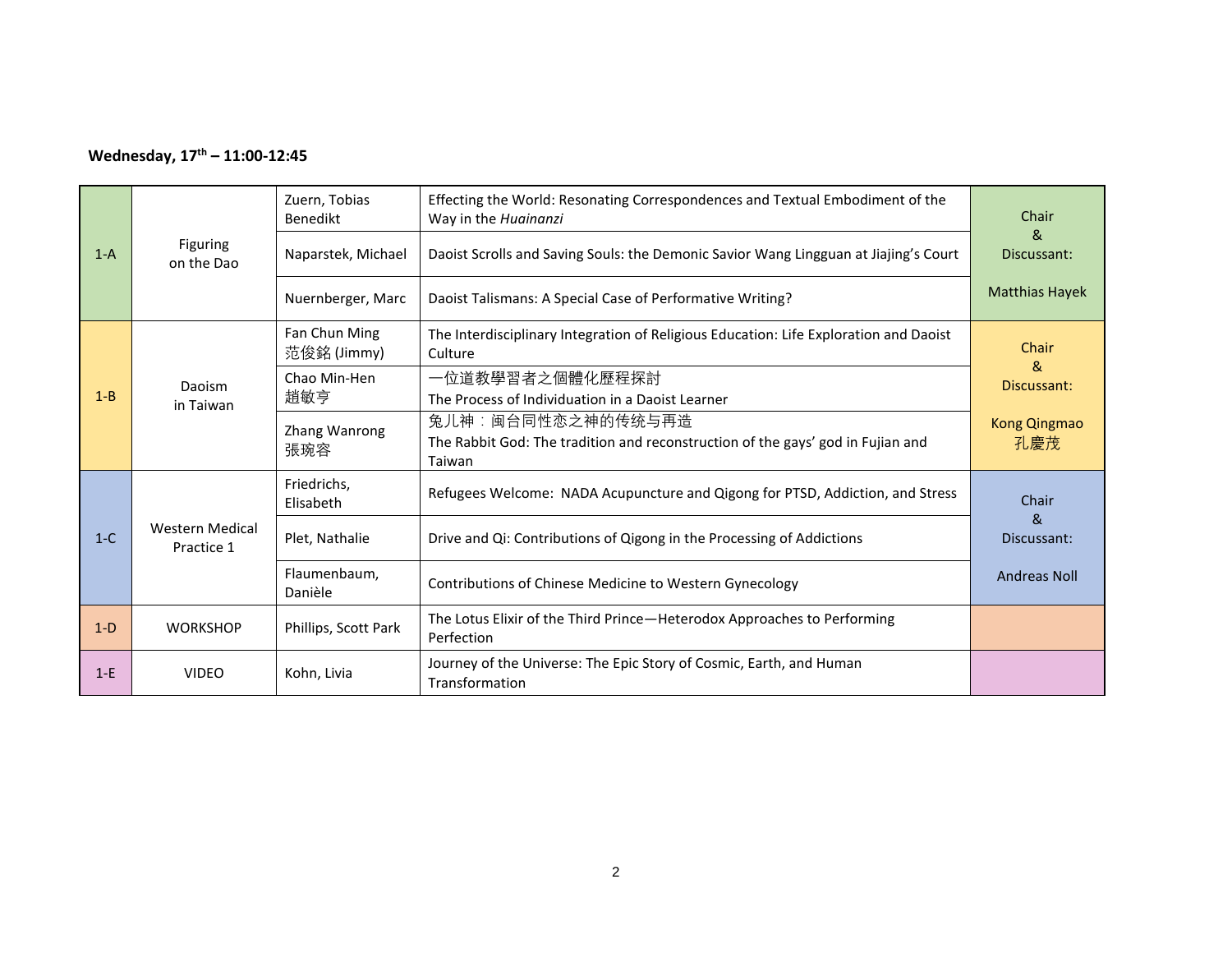### **Wednesday, 17th – 11:00-12:45**

| $1-A$   | <b>Figuring</b><br>on the Dao        | Zuern, Tobias<br>Benedikt<br>Naparstek, Michael<br>Nuernberger, Marc | Effecting the World: Resonating Correspondences and Textual Embodiment of the<br>Way in the Huainanzi<br>Daoist Scrolls and Saving Souls: the Demonic Savior Wang Lingguan at Jiajing's Court<br>Daoist Talismans: A Special Case of Performative Writing? | Chair<br>&<br>Discussant:<br><b>Matthias Hayek</b> |
|---------|--------------------------------------|----------------------------------------------------------------------|------------------------------------------------------------------------------------------------------------------------------------------------------------------------------------------------------------------------------------------------------------|----------------------------------------------------|
|         |                                      | Fan Chun Ming<br>范俊銘 (Jimmy)                                         | The Interdisciplinary Integration of Religious Education: Life Exploration and Daoist<br>Culture                                                                                                                                                           | Chair<br>&                                         |
| $1 - B$ | Daoism<br>in Taiwan                  | Chao Min-Hen<br>趙敏亨                                                  | 一位道教學習者之個體化歷程探討<br>The Process of Individuation in a Daoist Learner                                                                                                                                                                                        | Discussant:                                        |
|         |                                      | Zhang Wanrong<br>張琬容                                                 | 兔儿神:闽台同性恋之神的传统与再造<br>The Rabbit God: The tradition and reconstruction of the gays' god in Fujian and<br>Taiwan                                                                                                                                             | Kong Qingmao<br>孔慶茂                                |
|         |                                      | Friedrichs,<br>Elisabeth                                             | Refugees Welcome: NADA Acupuncture and Qigong for PTSD, Addiction, and Stress                                                                                                                                                                              | Chair                                              |
| $1-C$   | <b>Western Medical</b><br>Practice 1 | Plet, Nathalie                                                       | Drive and Qi: Contributions of Qigong in the Processing of Addictions                                                                                                                                                                                      | &<br>Discussant:                                   |
|         |                                      | Flaumenbaum,<br>Danièle                                              | Contributions of Chinese Medicine to Western Gynecology                                                                                                                                                                                                    | <b>Andreas Noll</b>                                |
| $1-D$   | <b>WORKSHOP</b>                      | Phillips, Scott Park                                                 | The Lotus Elixir of the Third Prince-Heterodox Approaches to Performing<br>Perfection                                                                                                                                                                      |                                                    |
| $1-E$   | <b>VIDEO</b>                         | Kohn, Livia                                                          | Journey of the Universe: The Epic Story of Cosmic, Earth, and Human<br>Transformation                                                                                                                                                                      |                                                    |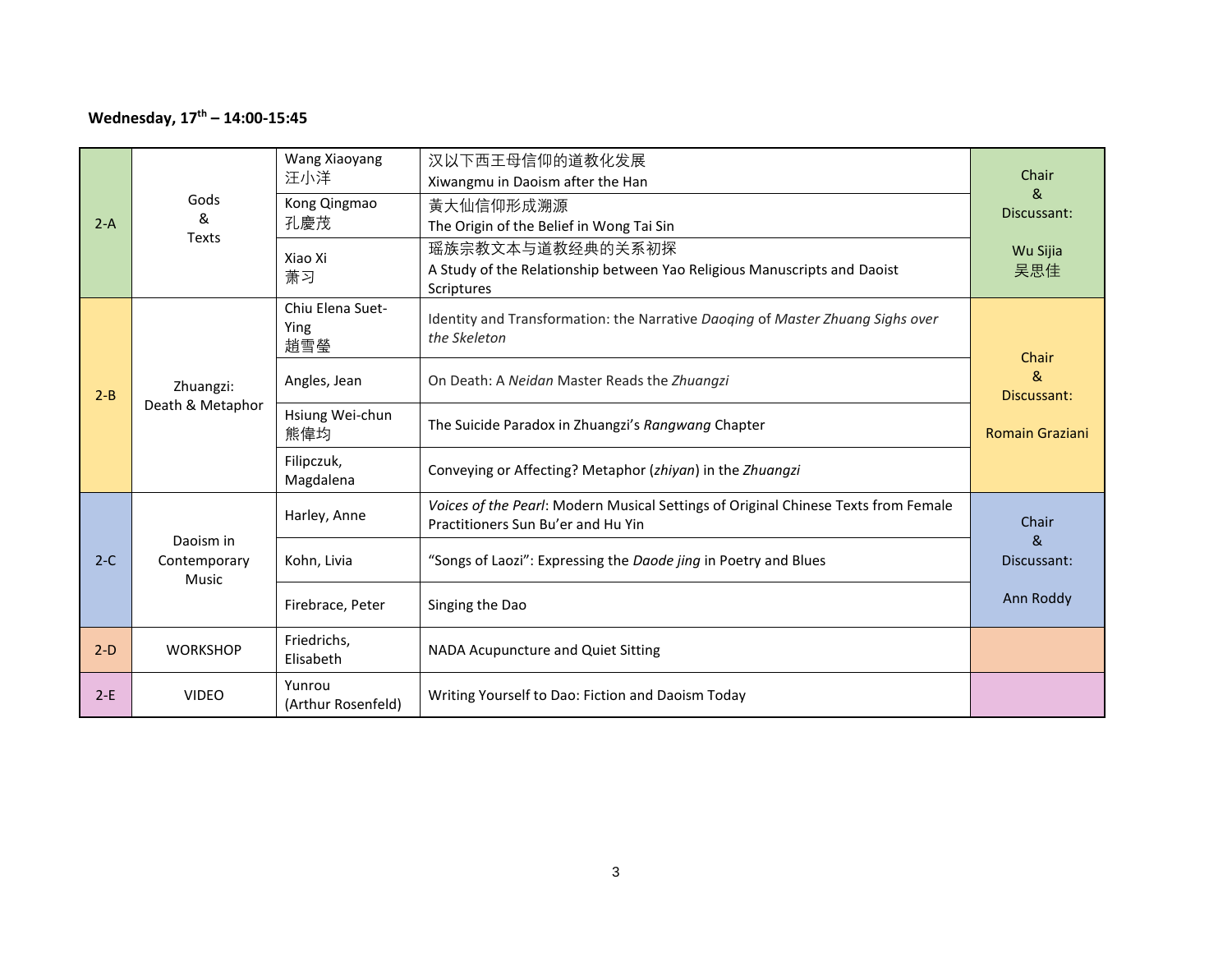### **Wednesday, 17th – 14:00-15:45**

| $2-A$   | Gods<br>&<br><b>Texts</b>          | Wang Xiaoyang<br>汪小洋<br>Kong Qingmao<br>孔慶茂<br>Xiao Xi<br>萧习 | 汉以下西王母信仰的道教化发展<br>Xiwangmu in Daoism after the Han<br>黃大仙信仰形成溯源<br>The Origin of the Belief in Wong Tai Sin<br>瑶族宗教文本与道教经典的关系初探<br>A Study of the Relationship between Yao Religious Manuscripts and Daoist<br><b>Scriptures</b> | Chair<br>&<br>Discussant:<br>Wu Sijia<br>吴思佳 |
|---------|------------------------------------|--------------------------------------------------------------|----------------------------------------------------------------------------------------------------------------------------------------------------------------------------------------------------------------------------------|----------------------------------------------|
|         |                                    | Chiu Elena Suet-<br>Ying<br>趙雪瑩                              | Identity and Transformation: the Narrative Daoging of Master Zhuang Sighs over<br>the Skeleton                                                                                                                                   | Chair                                        |
| $2 - B$ | Zhuangzi:<br>Death & Metaphor      | Angles, Jean                                                 | On Death: A Neidan Master Reads the Zhuangzi                                                                                                                                                                                     | &<br>Discussant:                             |
|         |                                    | Hsiung Wei-chun<br>熊偉均                                       | The Suicide Paradox in Zhuangzi's Rangwang Chapter                                                                                                                                                                               | <b>Romain Graziani</b>                       |
|         |                                    | Filipczuk,<br>Magdalena                                      | Conveying or Affecting? Metaphor (zhiyan) in the Zhuangzi                                                                                                                                                                        |                                              |
|         |                                    | Harley, Anne                                                 | Voices of the Pearl: Modern Musical Settings of Original Chinese Texts from Female<br>Practitioners Sun Bu'er and Hu Yin                                                                                                         | Chair                                        |
| $2-C$   | Daoism in<br>Contemporary<br>Music | Kohn, Livia                                                  | "Songs of Laozi": Expressing the Daode jing in Poetry and Blues                                                                                                                                                                  | &<br>Discussant:                             |
|         |                                    | Firebrace, Peter                                             | Singing the Dao                                                                                                                                                                                                                  | Ann Roddy                                    |
| $2-D$   | <b>WORKSHOP</b>                    | Friedrichs,<br>Elisabeth                                     | NADA Acupuncture and Quiet Sitting                                                                                                                                                                                               |                                              |
| $2-E$   | <b>VIDEO</b>                       | Yunrou<br>(Arthur Rosenfeld)                                 | Writing Yourself to Dao: Fiction and Daoism Today                                                                                                                                                                                |                                              |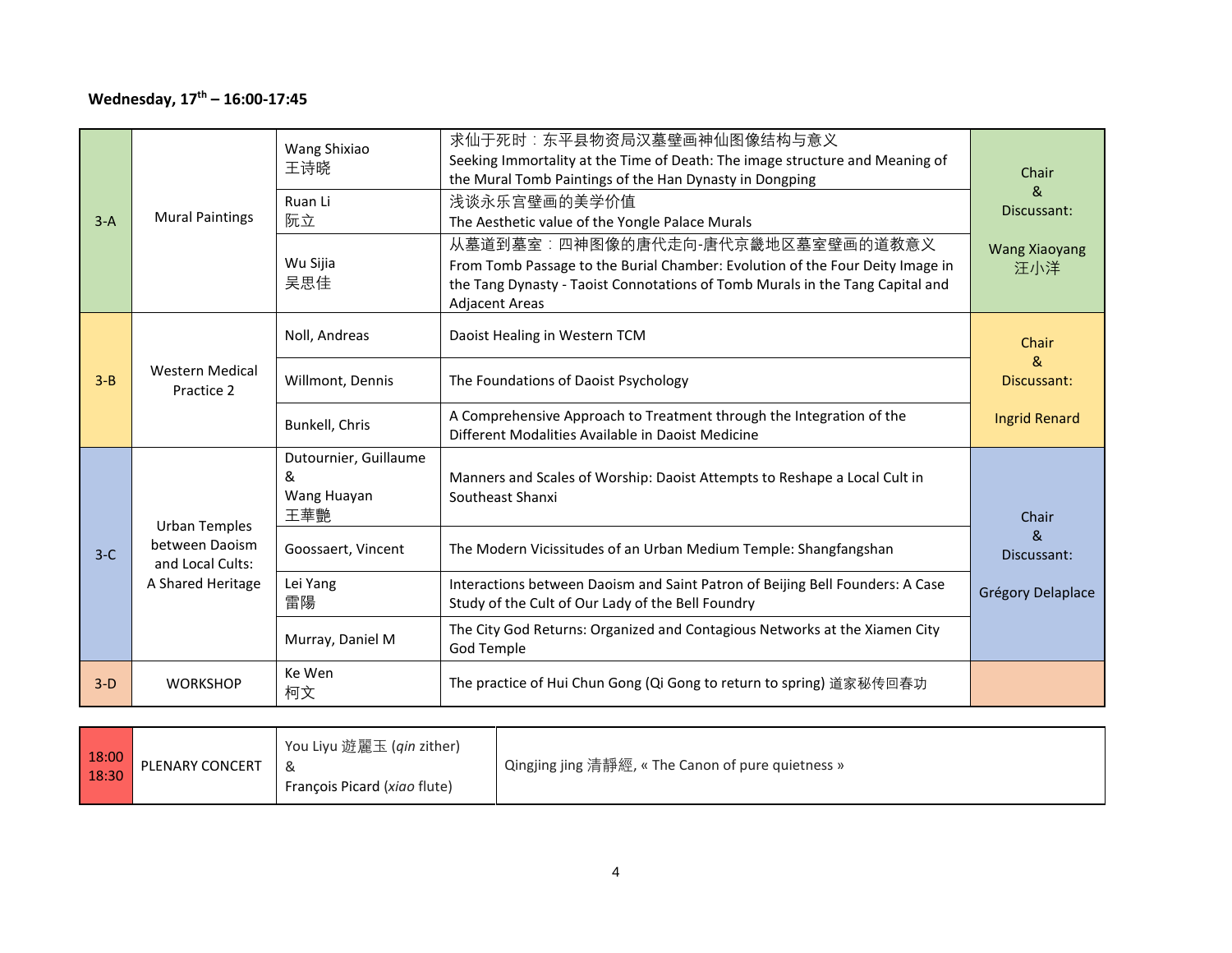### **Wednesday, 17th – 16:00-17:45**

| $3-A$   | <b>Mural Paintings</b>               | Wang Shixiao<br>王诗晓<br>Ruan Li<br>阮立<br>Wu Sijia<br>吴思佳 | 求仙于死时:东平县物资局汉墓壁画神仙图像结构与意义<br>Seeking Immortality at the Time of Death: The image structure and Meaning of<br>the Mural Tomb Paintings of the Han Dynasty in Dongping<br>浅谈永乐宫壁画的美学价值<br>The Aesthetic value of the Yongle Palace Murals<br>从墓道到墓室:四神图像的唐代走向-唐代京畿地区墓室壁画的道教意义<br>From Tomb Passage to the Burial Chamber: Evolution of the Four Deity Image in<br>the Tang Dynasty - Taoist Connotations of Tomb Murals in the Tang Capital and<br><b>Adjacent Areas</b> | Chair<br>&<br>Discussant:<br><b>Wang Xiaoyang</b><br>汪小洋 |
|---------|--------------------------------------|---------------------------------------------------------|------------------------------------------------------------------------------------------------------------------------------------------------------------------------------------------------------------------------------------------------------------------------------------------------------------------------------------------------------------------------------------------------------------------------------------------------------------------------|----------------------------------------------------------|
|         |                                      | Noll, Andreas                                           | Daoist Healing in Western TCM                                                                                                                                                                                                                                                                                                                                                                                                                                          | Chair<br>&                                               |
| $3 - B$ | <b>Western Medical</b><br>Practice 2 | Willmont, Dennis                                        | The Foundations of Daoist Psychology                                                                                                                                                                                                                                                                                                                                                                                                                                   | Discussant:                                              |
|         |                                      | Bunkell, Chris                                          | A Comprehensive Approach to Treatment through the Integration of the<br>Different Modalities Available in Daoist Medicine                                                                                                                                                                                                                                                                                                                                              | <b>Ingrid Renard</b>                                     |
|         | <b>Urban Temples</b>                 | Dutournier, Guillaume<br>&<br>Wang Huayan<br>王華艷        | Manners and Scales of Worship: Daoist Attempts to Reshape a Local Cult in<br>Southeast Shanxi                                                                                                                                                                                                                                                                                                                                                                          | Chair                                                    |
| $3-C$   | between Daoism<br>and Local Cults:   | Goossaert, Vincent                                      | The Modern Vicissitudes of an Urban Medium Temple: Shangfangshan                                                                                                                                                                                                                                                                                                                                                                                                       | &<br>Discussant:                                         |
|         | A Shared Heritage                    | Lei Yang<br>雷陽                                          | Interactions between Daoism and Saint Patron of Beijing Bell Founders: A Case<br>Study of the Cult of Our Lady of the Bell Foundry                                                                                                                                                                                                                                                                                                                                     | Grégory Delaplace                                        |
|         |                                      | Murray, Daniel M                                        | The City God Returns: Organized and Contagious Networks at the Xiamen City<br>God Temple                                                                                                                                                                                                                                                                                                                                                                               |                                                          |
| $3-D$   | <b>WORKSHOP</b>                      | Ke Wen<br>柯文                                            | The practice of Hui Chun Gong (Qi Gong to return to spring) 道家秘传回春功                                                                                                                                                                                                                                                                                                                                                                                                    |                                                          |

| 18:00<br>18:30 | PLENARY CONCERT | You Liyu 遊麗玉 ( <i>qin</i> zither)<br>Francois Picard (xiao flute) | ' Qingjing jing 清靜經, « The Canon of pure quietness » |
|----------------|-----------------|-------------------------------------------------------------------|------------------------------------------------------|
|----------------|-----------------|-------------------------------------------------------------------|------------------------------------------------------|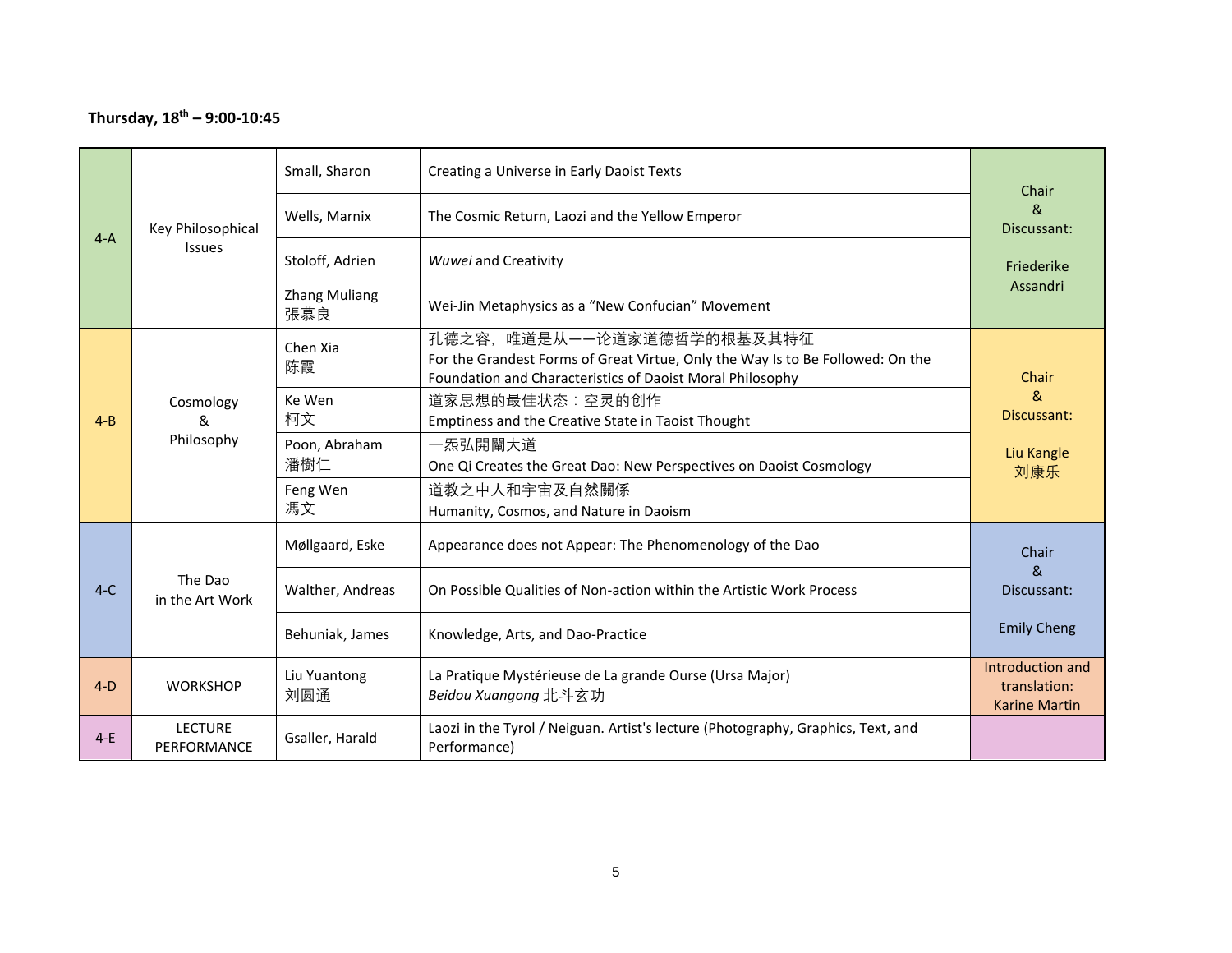### **Thursday, 18th – 9:00-10:45**

|         |                               | Small, Sharon               | Creating a Universe in Early Daoist Texts                                                                                                                                 | Chair                                                    |
|---------|-------------------------------|-----------------------------|---------------------------------------------------------------------------------------------------------------------------------------------------------------------------|----------------------------------------------------------|
| $4-A$   | Key Philosophical             | Wells, Marnix               | The Cosmic Return, Laozi and the Yellow Emperor                                                                                                                           | $\mathcal{R}_{\mathcal{C}}$<br>Discussant:               |
|         | <b>Issues</b>                 | Stoloff, Adrien             | Wuwei and Creativity                                                                                                                                                      | Friederike                                               |
|         |                               | <b>Zhang Muliang</b><br>張慕良 | Wei-Jin Metaphysics as a "New Confucian" Movement                                                                                                                         | Assandri                                                 |
|         |                               | Chen Xia<br>陈霞              | 孔德之容, 唯道是从一一论道家道德哲学的根基及其特征<br>For the Grandest Forms of Great Virtue, Only the Way Is to Be Followed: On the<br>Foundation and Characteristics of Daoist Moral Philosophy | Chair                                                    |
| $4 - B$ | Cosmology<br>&<br>Philosophy  | Ke Wen<br>柯文                | 道家思想的最佳状态:空灵的创作<br>Emptiness and the Creative State in Taoist Thought                                                                                                     | &<br>Discussant:                                         |
|         |                               | Poon, Abraham<br>潘樹仁        | 一炁弘開闡大道<br>One Qi Creates the Great Dao: New Perspectives on Daoist Cosmology                                                                                             | Liu Kangle<br>刘康乐                                        |
|         |                               | Feng Wen<br>馮文              | 道教之中人和宇宙及自然關係<br>Humanity, Cosmos, and Nature in Daoism                                                                                                                   |                                                          |
|         |                               | Møllgaard, Eske             | Appearance does not Appear: The Phenomenology of the Dao                                                                                                                  | Chair                                                    |
| $4-C$   | The Dao<br>in the Art Work    | Walther, Andreas            | On Possible Qualities of Non-action within the Artistic Work Process                                                                                                      | $\mathcal{R}_{1}$<br>Discussant:                         |
|         |                               | Behuniak, James             | Knowledge, Arts, and Dao-Practice                                                                                                                                         | <b>Emily Cheng</b>                                       |
| $4-D$   | <b>WORKSHOP</b>               | Liu Yuantong<br>刘圆通         | La Pratique Mystérieuse de La grande Ourse (Ursa Major)<br>Beidou Xuangong 北斗玄功                                                                                           | Introduction and<br>translation:<br><b>Karine Martin</b> |
| $4-E$   | <b>LECTURE</b><br>PERFORMANCE | Gsaller, Harald             | Laozi in the Tyrol / Neiguan. Artist's lecture (Photography, Graphics, Text, and<br>Performance)                                                                          |                                                          |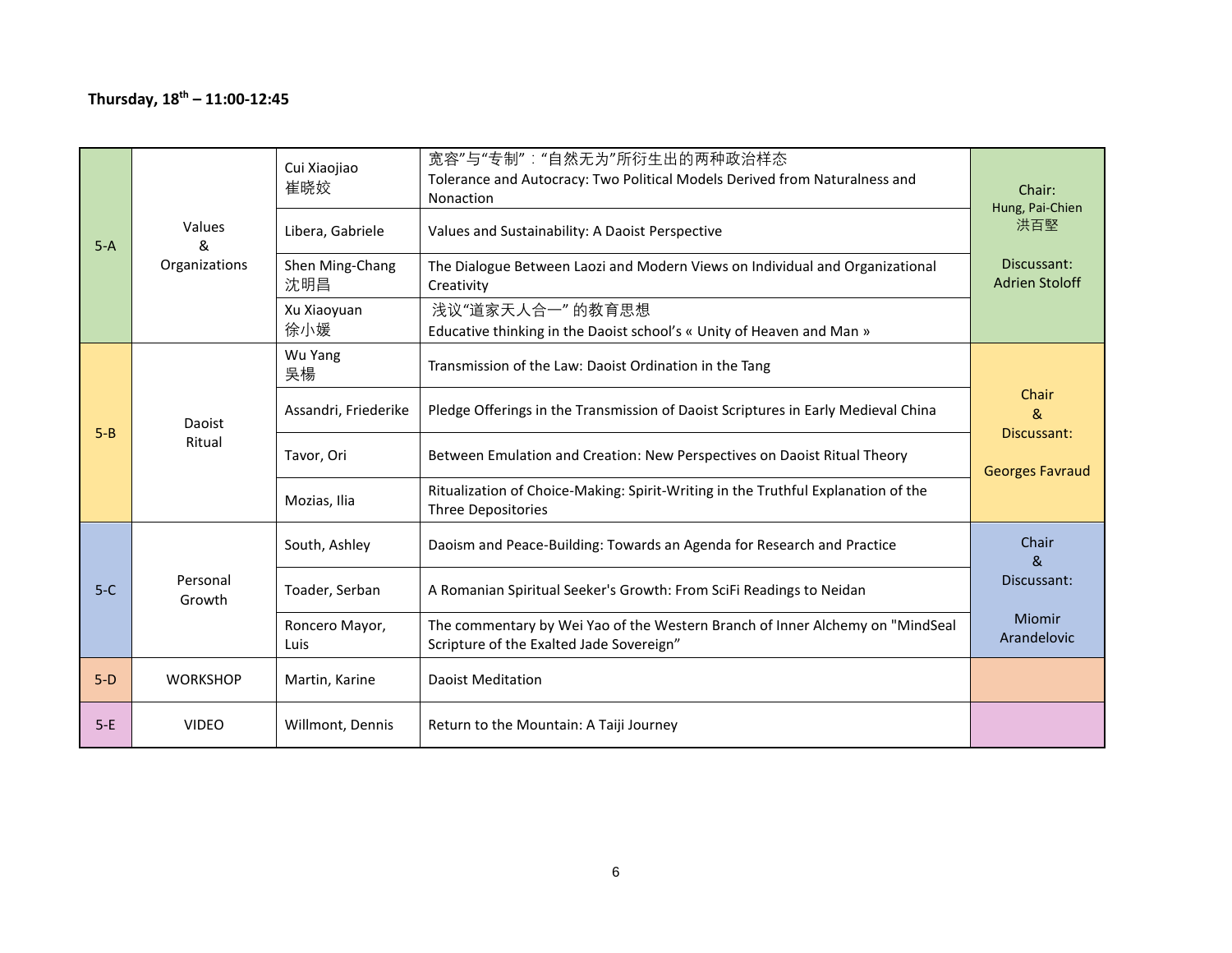### **Thursday, 18th – 11:00-12:45**

| $5-A$   | Values<br>&        | Cui Xiaojiao<br>崔晓姣<br>Libera, Gabriele | 宽容"与"专制":"自然无为"所衍生出的两种政治样态<br>Tolerance and Autocracy: Two Political Models Derived from Naturalness and<br>Nonaction<br>Values and Sustainability: A Daoist Perspective | Chair:<br>Hung, Pai-Chien<br>洪百堅     |
|---------|--------------------|-----------------------------------------|--------------------------------------------------------------------------------------------------------------------------------------------------------------------------|--------------------------------------|
|         | Organizations      | Shen Ming-Chang<br>沈明昌                  | The Dialogue Between Laozi and Modern Views on Individual and Organizational<br>Creativity                                                                               | Discussant:<br><b>Adrien Stoloff</b> |
|         |                    | Xu Xiaoyuan<br>徐小媛                      | 浅议"道家天人合一"的教育思想<br>Educative thinking in the Daoist school's « Unity of Heaven and Man »                                                                                 |                                      |
|         |                    | Wu Yang<br>吳楊                           | Transmission of the Law: Daoist Ordination in the Tang                                                                                                                   |                                      |
| $5 - B$ | Daoist<br>Ritual   | Assandri, Friederike                    | Pledge Offerings in the Transmission of Daoist Scriptures in Early Medieval China                                                                                        | Chair<br>&<br>Discussant:            |
|         |                    | Tavor, Ori                              | Between Emulation and Creation: New Perspectives on Daoist Ritual Theory                                                                                                 | <b>Georges Favraud</b>               |
|         |                    | Mozias, Ilia                            | Ritualization of Choice-Making: Spirit-Writing in the Truthful Explanation of the<br><b>Three Depositories</b>                                                           |                                      |
|         |                    | South, Ashley                           | Daoism and Peace-Building: Towards an Agenda for Research and Practice                                                                                                   | Chair<br>&                           |
| $5-C$   | Personal<br>Growth | Toader, Serban                          | A Romanian Spiritual Seeker's Growth: From SciFi Readings to Neidan                                                                                                      | Discussant:                          |
|         |                    | Roncero Mayor,<br>Luis                  | The commentary by Wei Yao of the Western Branch of Inner Alchemy on "MindSeal<br>Scripture of the Exalted Jade Sovereign"                                                | <b>Miomir</b><br>Arandelovic         |
| $5-D$   | <b>WORKSHOP</b>    | Martin, Karine                          | <b>Daoist Meditation</b>                                                                                                                                                 |                                      |
| $5-E$   | <b>VIDEO</b>       | Willmont, Dennis                        | Return to the Mountain: A Taiji Journey                                                                                                                                  |                                      |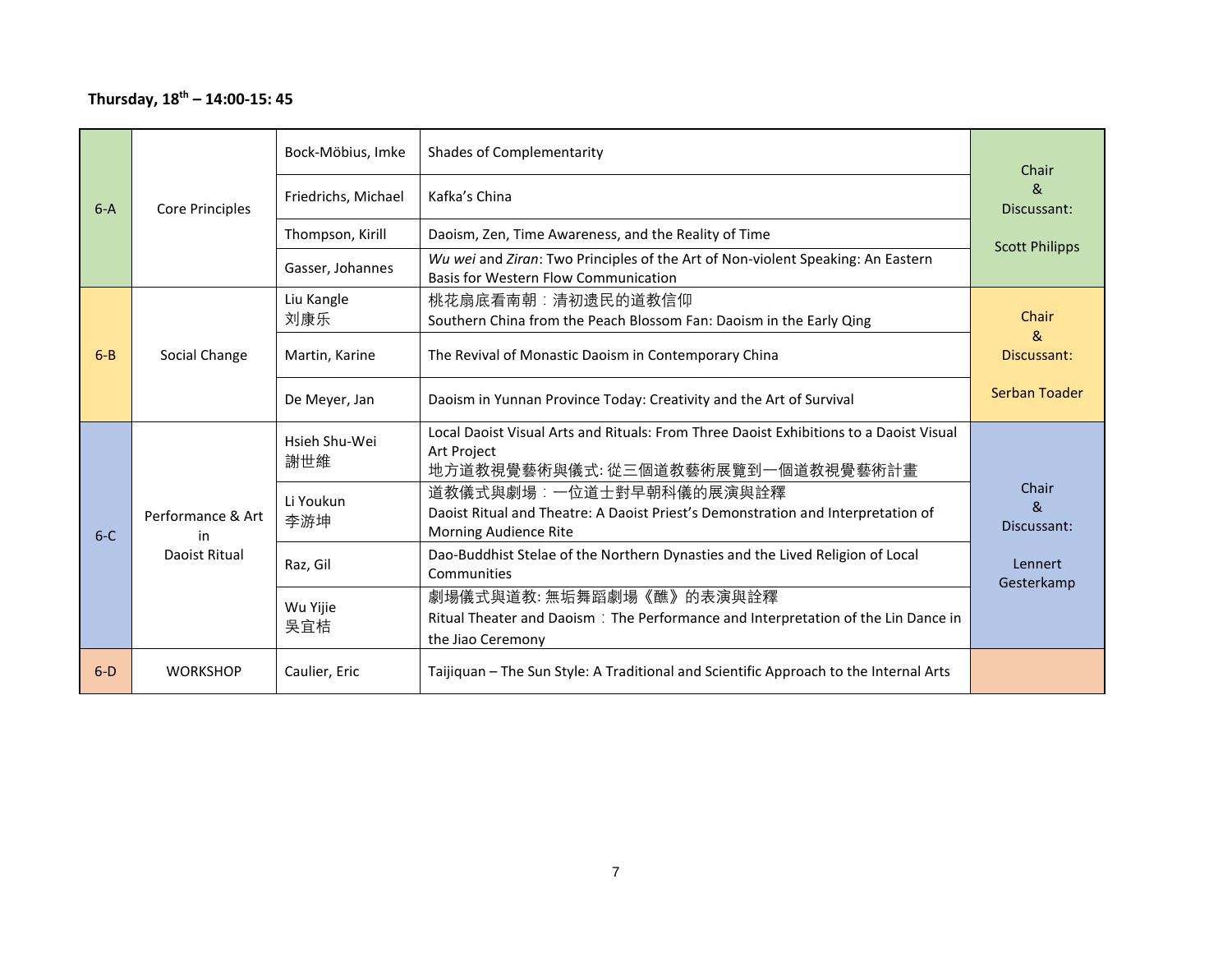### **Thursday, 18th – 14:00-15: 45**

|         |                         | Bock-Möbius, Imke    | <b>Shades of Complementarity</b>                                                                                                          | Chair                                |
|---------|-------------------------|----------------------|-------------------------------------------------------------------------------------------------------------------------------------------|--------------------------------------|
| $6-A$   | <b>Core Principles</b>  | Friedrichs, Michael  | Kafka's China                                                                                                                             | <sub>R</sub><br>Discussant:          |
|         |                         | Thompson, Kirill     | Daoism, Zen, Time Awareness, and the Reality of Time                                                                                      | <b>Scott Philipps</b>                |
|         |                         | Gasser, Johannes     | Wu wei and Ziran: Two Principles of the Art of Non-violent Speaking: An Eastern<br>Basis for Western Flow Communication                   |                                      |
|         |                         | Liu Kangle           | 桃花扇底看南朝:清初遗民的道教信仰                                                                                                                         |                                      |
|         |                         | 刘康乐                  | Southern China from the Peach Blossom Fan: Daoism in the Early Qing                                                                       | Chair<br>&.                          |
| $6 - B$ | Social Change           | Martin, Karine       | The Revival of Monastic Daoism in Contemporary China                                                                                      | Discussant:                          |
|         |                         | De Meyer, Jan        | Daoism in Yunnan Province Today: Creativity and the Art of Survival                                                                       | Serban Toader                        |
|         | Performance & Art<br>in | Hsieh Shu-Wei<br>謝世維 | Local Daoist Visual Arts and Rituals: From Three Daoist Exhibitions to a Daoist Visual<br>Art Project<br>地方道教視覺藝術與儀式:從三個道教藝術展覽到一個道教視覺藝術計畫 |                                      |
| $6-C$   |                         | Li Youkun<br>李游坤     | 道教儀式與劇場︰一位道士對早朝科儀的展演與詮釋<br>Daoist Ritual and Theatre: A Daoist Priest's Demonstration and Interpretation of<br>Morning Audience Rite      | Chair<br><sub>R</sub><br>Discussant: |
|         | Daoist Ritual           | Raz, Gil             | Dao-Buddhist Stelae of the Northern Dynasties and the Lived Religion of Local<br>Communities                                              | Lennert<br>Gesterkamp                |
|         |                         | Wu Yijie<br>吳宜桔      | 劇場儀式與道教: 無垢舞蹈劇場《醮》的表演與詮釋<br>Ritual Theater and Daoism : The Performance and Interpretation of the Lin Dance in<br>the Jiao Ceremony       |                                      |
| $6-D$   | <b>WORKSHOP</b>         | Caulier, Eric        | Taijiquan - The Sun Style: A Traditional and Scientific Approach to the Internal Arts                                                     |                                      |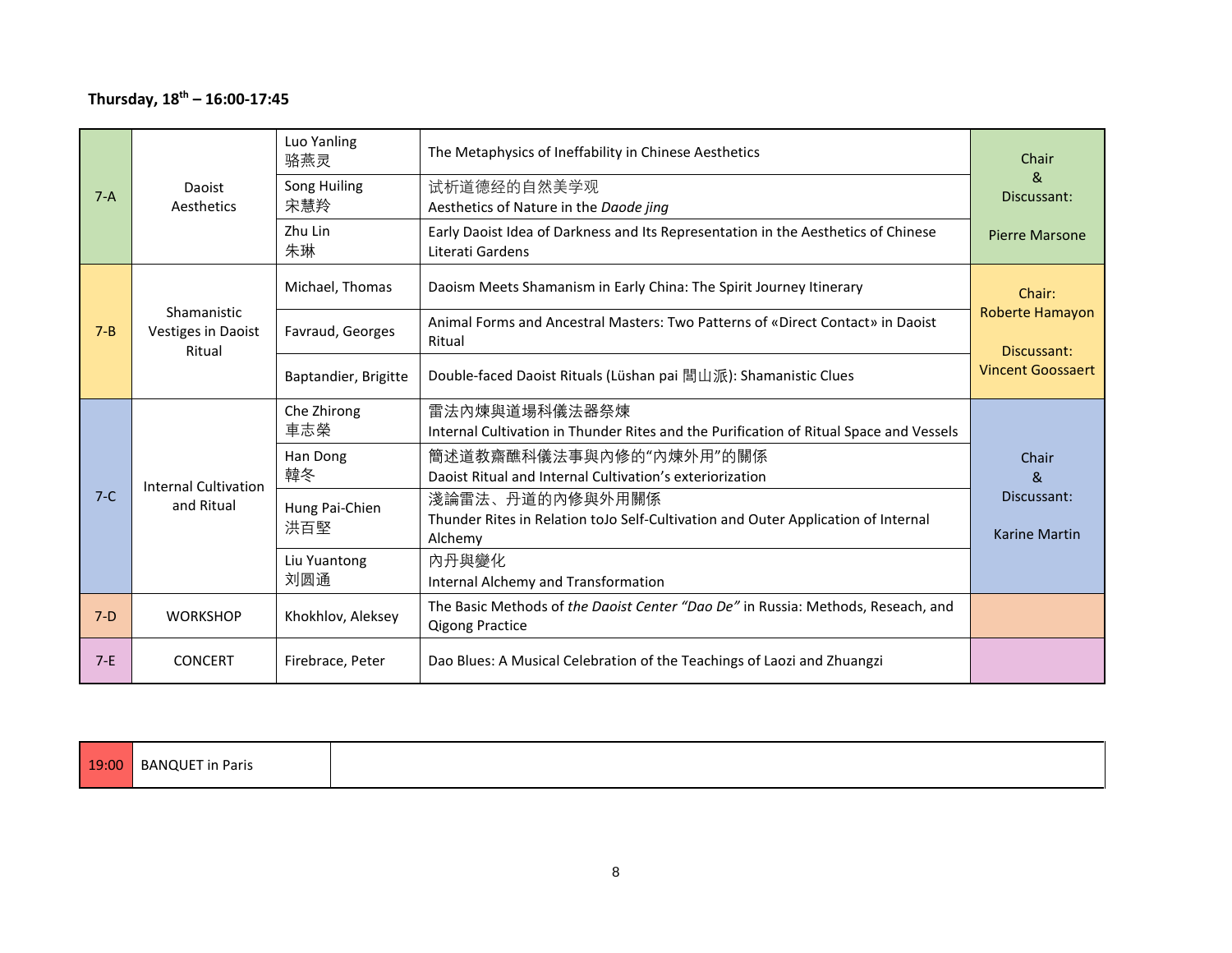### **Thursday, 18th – 16:00-17:45**

| $7-A$   | Daoist<br>Aesthetics                               | Luo Yanling<br>骆燕灵<br>Song Huiling<br>宋慧羚<br>Zhu Lin<br>朱琳                           | The Metaphysics of Ineffability in Chinese Aesthetics<br>试析道德经的自然美学观<br>Aesthetics of Nature in the Daode jing<br>Early Daoist Idea of Darkness and Its Representation in the Aesthetics of Chinese<br>Literati Gardens                                                                                                                                           | Chair<br>$\mathcal{R}_{1}$<br>Discussant:<br><b>Pierre Marsone</b>   |
|---------|----------------------------------------------------|--------------------------------------------------------------------------------------|-------------------------------------------------------------------------------------------------------------------------------------------------------------------------------------------------------------------------------------------------------------------------------------------------------------------------------------------------------------------|----------------------------------------------------------------------|
| $7 - B$ | Shamanistic<br><b>Vestiges in Daoist</b><br>Ritual | Michael, Thomas<br>Favraud, Georges<br>Baptandier, Brigitte                          | Daoism Meets Shamanism in Early China: The Spirit Journey Itinerary<br>Animal Forms and Ancestral Masters: Two Patterns of «Direct Contact» in Daoist<br>Ritual<br>Double-faced Daoist Rituals (Lüshan pai 間山派): Shamanistic Clues                                                                                                                                | Chair:<br>Roberte Hamayon<br>Discussant:<br><b>Vincent Goossaert</b> |
| $7-C$   | <b>Internal Cultivation</b><br>and Ritual          | Che Zhirong<br>車志榮<br>Han Dong<br>韓冬<br>Hung Pai-Chien<br>洪百堅<br>Liu Yuantong<br>刘圆通 | 雷法内煉與道場科儀法器祭煉<br>Internal Cultivation in Thunder Rites and the Purification of Ritual Space and Vessels<br>簡述道教齋醮科儀法事與內修的"內煉外用"的關係<br>Daoist Ritual and Internal Cultivation's exteriorization<br>淺論雷法、丹道的內修與外用關係<br>Thunder Rites in Relation toJo Self-Cultivation and Outer Application of Internal<br>Alchemy<br>內丹與變化<br>Internal Alchemy and Transformation | Chair<br>ጼ<br>Discussant:<br><b>Karine Martin</b>                    |
| $7-D$   | <b>WORKSHOP</b>                                    | Khokhlov, Aleksey                                                                    | The Basic Methods of the Daoist Center "Dao De" in Russia: Methods, Reseach, and<br><b>Qigong Practice</b>                                                                                                                                                                                                                                                        |                                                                      |
| $7-E$   | <b>CONCERT</b>                                     | Firebrace, Peter                                                                     | Dao Blues: A Musical Celebration of the Teachings of Laozi and Zhuangzi                                                                                                                                                                                                                                                                                           |                                                                      |

| 19:00<br>-- | - BANOUE<br>in<br>ı Paris |  |
|-------------|---------------------------|--|
|-------------|---------------------------|--|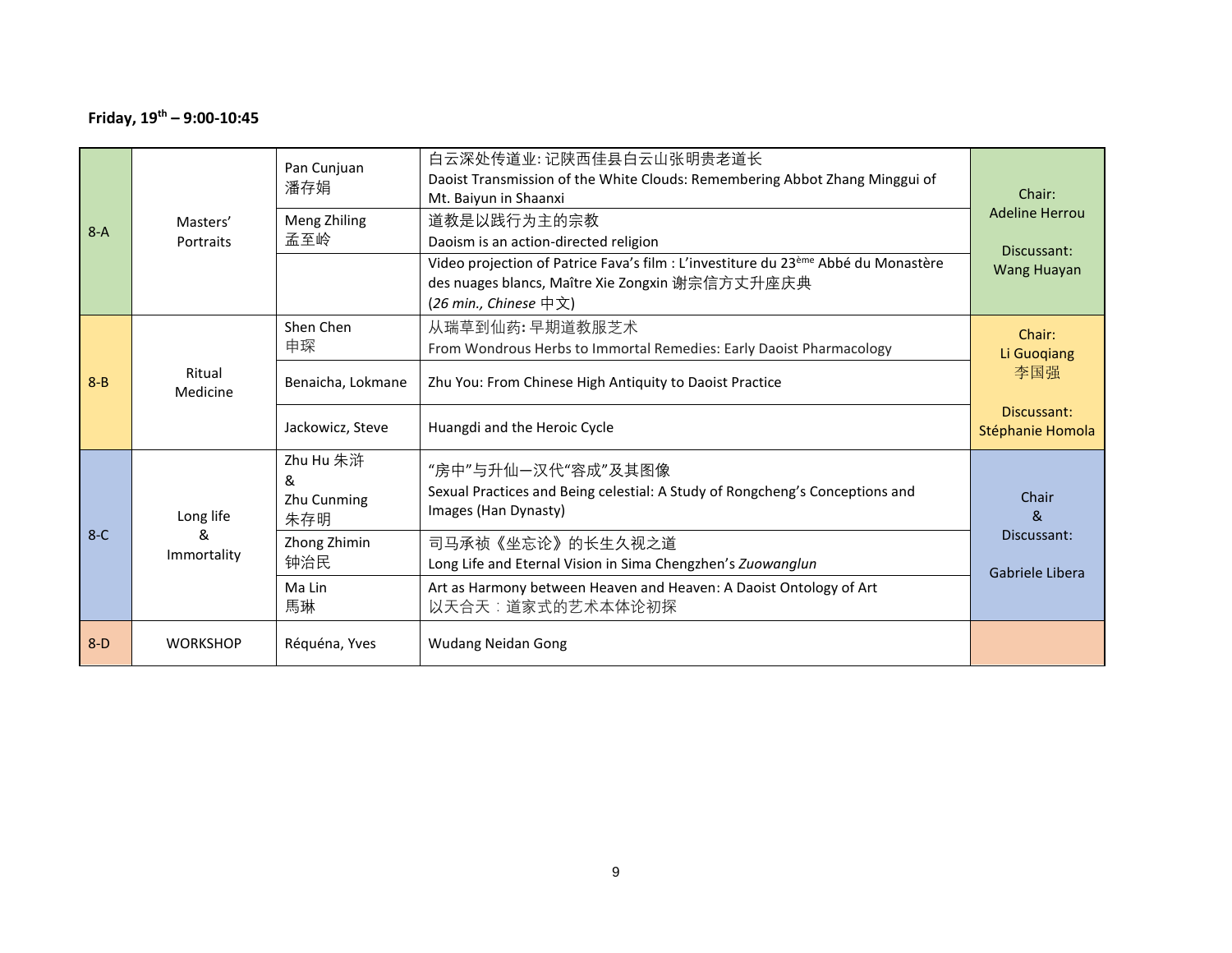### **Friday, 19th – 9:00-10:45**

| $8-D$   | <b>WORKSHOP</b>       | Réquéna, Yves                        | <b>Wudang Neidan Gong</b>                                                                                                                                                  |                                 |
|---------|-----------------------|--------------------------------------|----------------------------------------------------------------------------------------------------------------------------------------------------------------------------|---------------------------------|
|         |                       | Ma Lin<br>馬琳                         | Art as Harmony between Heaven and Heaven: A Daoist Ontology of Art<br>以天合天:道家式的艺术本体论初探                                                                                     |                                 |
| $8-C$   | &<br>Immortality      | Zhong Zhimin<br>钟治民                  | 司马承祯《坐忘论》的长生久视之道<br>Long Life and Eternal Vision in Sima Chengzhen's Zuowanglun                                                                                            | Discussant:<br>Gabriele Libera  |
|         | Long life             | Zhu Hu 朱浒<br>&<br>Zhu Cunming<br>朱存明 | "房中"与升仙—汉代"容成"及其图像<br>Sexual Practices and Being celestial: A Study of Rongcheng's Conceptions and<br>Images (Han Dynasty)                                                 | Chair<br><sub>R</sub>           |
|         |                       | Jackowicz, Steve                     | Huangdi and the Heroic Cycle                                                                                                                                               | Discussant:<br>Stéphanie Homola |
| $8 - B$ | Ritual<br>Medicine    | Benaicha, Lokmane                    | Zhu You: From Chinese High Antiquity to Daoist Practice                                                                                                                    | 李国强                             |
|         |                       | Shen Chen<br>申琛                      | 从瑞草到仙药:早期道教服芝术<br>From Wondrous Herbs to Immortal Remedies: Early Daoist Pharmacology                                                                                      | Chair:<br>Li Guoqiang           |
|         |                       |                                      | Video projection of Patrice Fava's film : L'investiture du 23 <sup>ème</sup> Abbé du Monastère<br>des nuages blancs, Maître Xie Zongxin 谢宗信方丈升座庆典<br>(26 min., Chinese 中文) | <b>Wang Huayan</b>              |
| $8-A$   | Masters'<br>Portraits | Meng Zhiling<br>孟至岭                  | 道教是以践行为主的宗教<br>Daoism is an action-directed religion                                                                                                                       | Discussant:                     |
|         |                       | Pan Cunjuan<br>潘存娟                   | 白云深处传道业:记陕西佳县白云山张明贵老道长<br>Daoist Transmission of the White Clouds: Remembering Abbot Zhang Minggui of<br>Mt. Baiyun in Shaanxi                                             | Chair:<br><b>Adeline Herrou</b> |
|         |                       |                                      |                                                                                                                                                                            |                                 |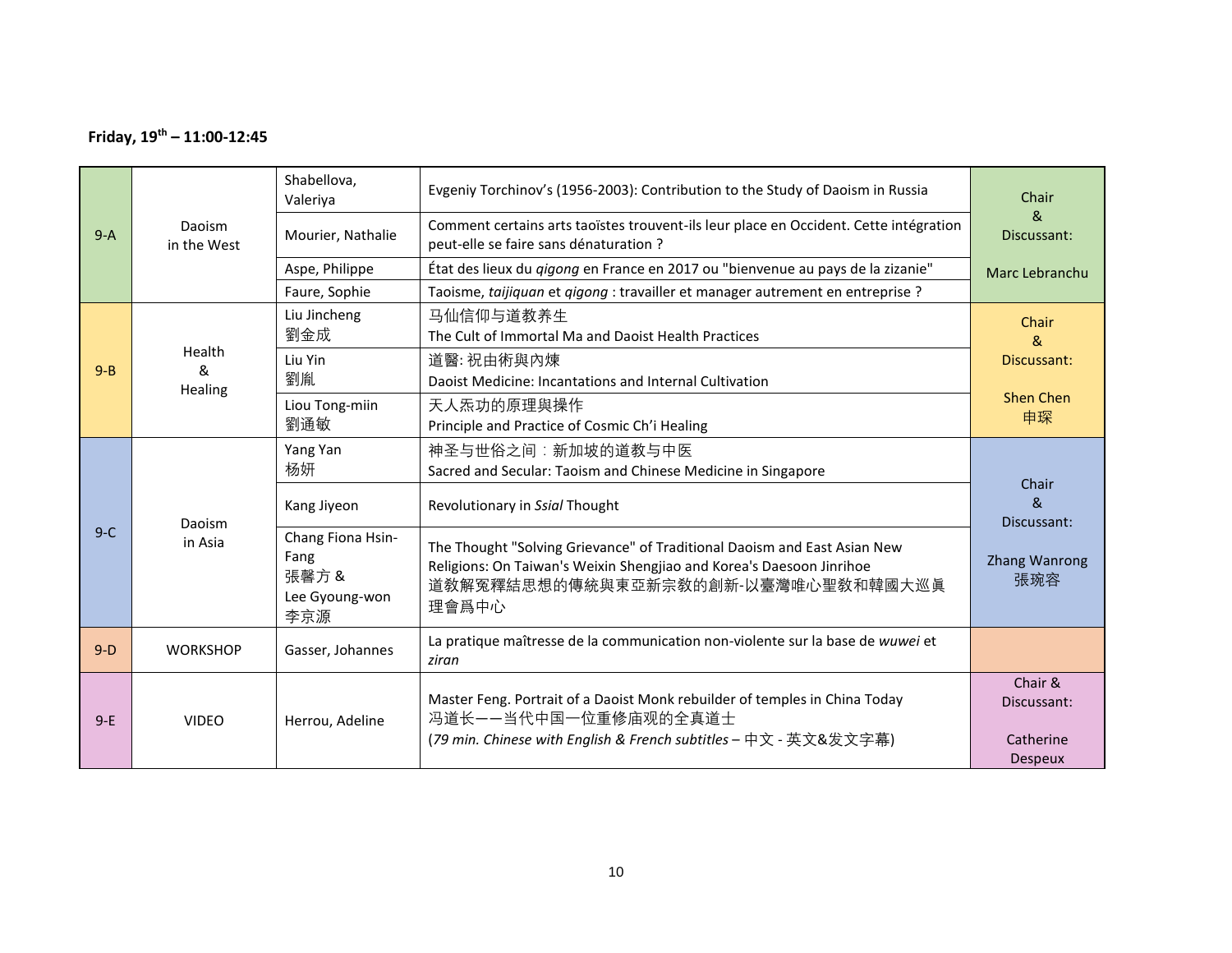### **Friday, 19th – 11:00-12:45**

|         |                       | Shabellova,<br>Valeriya                                    | Evgeniy Torchinov's (1956-2003): Contribution to the Study of Daoism in Russia                                                                                                                  | Chair                               |
|---------|-----------------------|------------------------------------------------------------|-------------------------------------------------------------------------------------------------------------------------------------------------------------------------------------------------|-------------------------------------|
| $9-A$   | Daoism<br>in the West | Mourier, Nathalie                                          | Comment certains arts taoïstes trouvent-ils leur place en Occident. Cette intégration<br>peut-elle se faire sans dénaturation ?                                                                 | &<br>Discussant:                    |
|         |                       | Aspe, Philippe                                             | État des lieux du gigong en France en 2017 ou "bienvenue au pays de la zizanie"                                                                                                                 | Marc Lebranchu                      |
|         |                       | Faure, Sophie                                              | Taoisme, taijiquan et qigong : travailler et manager autrement en entreprise ?                                                                                                                  |                                     |
|         |                       | Liu Jincheng<br>劉金成                                        | 马仙信仰与道教养生<br>The Cult of Immortal Ma and Daoist Health Practices                                                                                                                                | Chair<br>&                          |
|         | Health                | Liu Yin                                                    | 道醫:祝由術與內煉                                                                                                                                                                                       | Discussant:                         |
| $9 - B$ | &<br>Healing          | 劉胤                                                         | Daoist Medicine: Incantations and Internal Cultivation                                                                                                                                          |                                     |
|         |                       | Liou Tong-miin                                             | 天人炁功的原理與操作                                                                                                                                                                                      | <b>Shen Chen</b>                    |
|         |                       | 劉通敏                                                        | Principle and Practice of Cosmic Ch'i Healing                                                                                                                                                   | 申琛                                  |
|         | Daoism<br>in Asia     | Yang Yan                                                   | 神圣与世俗之间:新加坡的道教与中医                                                                                                                                                                               |                                     |
|         |                       | 杨妍                                                         | Sacred and Secular: Taoism and Chinese Medicine in Singapore                                                                                                                                    | Chair                               |
| $9-C$   |                       | Kang Jiyeon                                                | Revolutionary in Ssial Thought                                                                                                                                                                  | &<br>Discussant:                    |
|         |                       | Chang Fiona Hsin-<br>Fang<br>張馨方&<br>Lee Gyoung-won<br>李京源 | The Thought "Solving Grievance" of Traditional Daoism and East Asian New<br>Religions: On Taiwan's Weixin Shengjiao and Korea's Daesoon Jinrihoe<br>道教解冤釋結思想的傳統與東亞新宗教的創新-以臺灣唯心聖教和韓國大巡眞<br>理會爲中心 | Zhang Wanrong<br>張琬容                |
| $9-D$   | <b>WORKSHOP</b>       | Gasser, Johannes                                           | La pratique maîtresse de la communication non-violente sur la base de wuwei et<br>ziran                                                                                                         |                                     |
| $9-E$   | <b>VIDEO</b>          | Herrou, Adeline                                            | Master Feng. Portrait of a Daoist Monk rebuilder of temples in China Today<br>冯道长——当代中国一位重修庙观的全真道士<br>(79 min. Chinese with English & French subtitles - 中文 - 英文&发文字幕)                          | Chair &<br>Discussant:<br>Catherine |
|         |                       |                                                            |                                                                                                                                                                                                 | <b>Despeux</b>                      |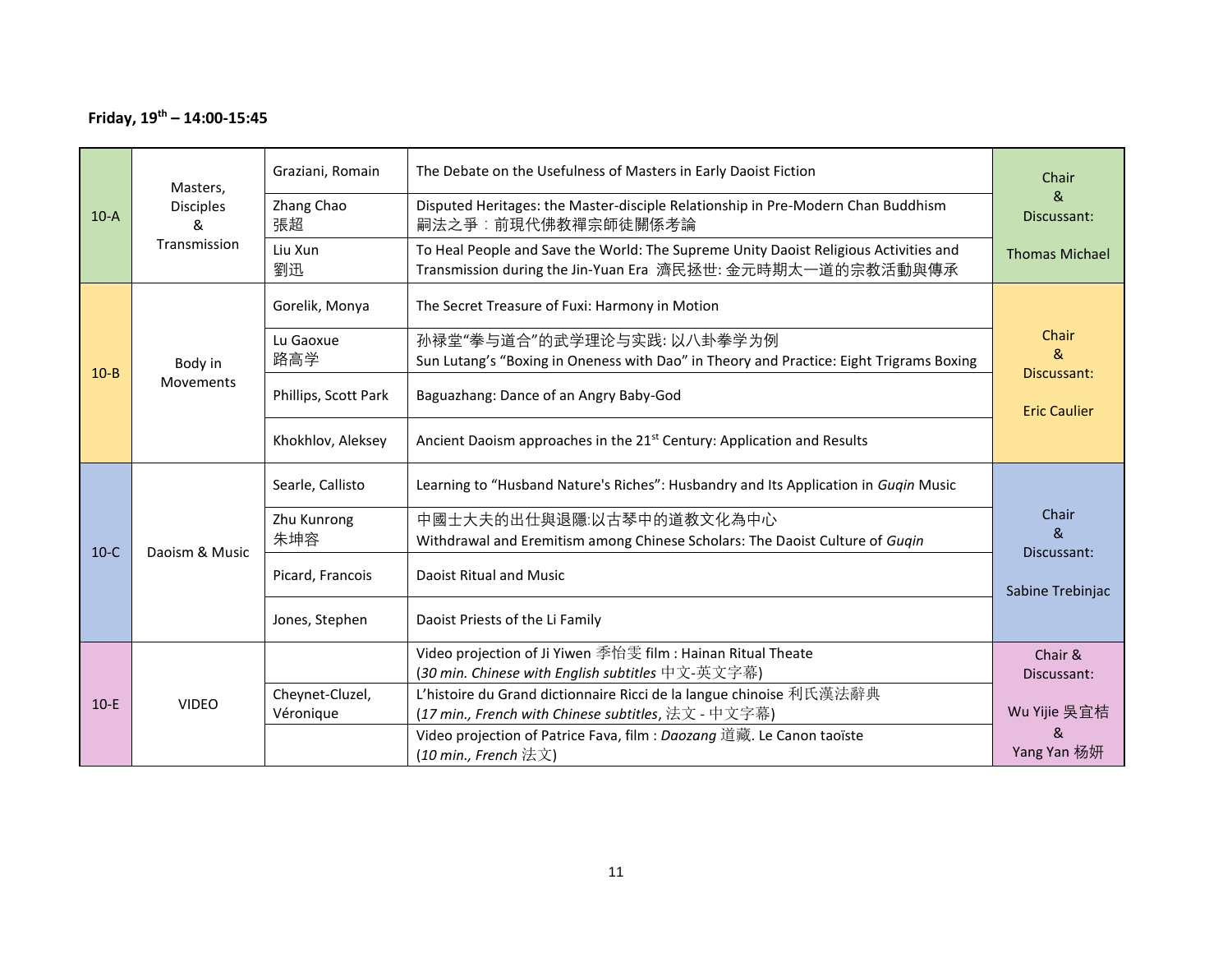### **Friday, 19th – 14:00-15:45**

|          | Masters,<br><b>Disciples</b><br>&<br>Transmission | Graziani, Romain<br>Zhang Chao | The Debate on the Usefulness of Masters in Early Daoist Fiction<br>Disputed Heritages: the Master-disciple Relationship in Pre-Modern Chan Buddhism | Chair<br>&                    |
|----------|---------------------------------------------------|--------------------------------|-----------------------------------------------------------------------------------------------------------------------------------------------------|-------------------------------|
| $10-A$   |                                                   | 張超                             | 嗣法之爭:前現代佛教禪宗師徒關係考論                                                                                                                                  | Discussant:                   |
|          |                                                   | Liu Xun<br>劉迅                  | To Heal People and Save the World: The Supreme Unity Daoist Religious Activities and<br>Transmission during the Jin-Yuan Era 濟民拯世: 金元時期太一道的宗教活動與傳承  | <b>Thomas Michael</b>         |
|          |                                                   | Gorelik, Monya                 | The Secret Treasure of Fuxi: Harmony in Motion                                                                                                      |                               |
|          |                                                   | Lu Gaoxue                      | 孙禄堂"拳与道合"的武学理论与实践: 以八卦拳学为例                                                                                                                          | Chair                         |
| $10 - B$ | Body in                                           | 路高学                            | Sun Lutang's "Boxing in Oneness with Dao" in Theory and Practice: Eight Trigrams Boxing                                                             | &<br>Discussant:              |
|          | <b>Movements</b>                                  | Phillips, Scott Park           | Baguazhang: Dance of an Angry Baby-God                                                                                                              | <b>Eric Caulier</b>           |
|          |                                                   | Khokhlov, Aleksey              | Ancient Daoism approaches in the 21 <sup>st</sup> Century: Application and Results                                                                  |                               |
|          | Daoism & Music                                    | Searle, Callisto               | Learning to "Husband Nature's Riches": Husbandry and Its Application in Gugin Music                                                                 |                               |
|          |                                                   | Zhu Kunrong                    | 中國士大夫的出仕與退隱:以古琴中的道教文化為中心                                                                                                                            | Chair                         |
| $10-C$   |                                                   | 朱坤容                            | Withdrawal and Eremitism among Chinese Scholars: The Daoist Culture of Guqin                                                                        | 8 <sub>k</sub><br>Discussant: |
|          |                                                   | Picard, Francois               | Daoist Ritual and Music                                                                                                                             | Sabine Trebinjac              |
|          |                                                   | Jones, Stephen                 | Daoist Priests of the Li Family                                                                                                                     |                               |
| $10-E$   | <b>VIDEO</b>                                      |                                | Video projection of Ji Yiwen 季怡雯 film : Hainan Ritual Theate                                                                                        | Chair &                       |
|          |                                                   |                                | (30 min. Chinese with English subtitles 中文-英文字幕)                                                                                                    | Discussant:                   |
|          |                                                   | Cheynet-Cluzel,                | L'histoire du Grand dictionnaire Ricci de la langue chinoise 利氏漢法辭典                                                                                 |                               |
|          |                                                   | Véronique                      | (17 min., French with Chinese subtitles, 法文 - 中文字幕)                                                                                                 | Wu Yijie 吳宜桔<br>$\mathcal{R}$ |
|          |                                                   |                                | Video projection of Patrice Fava, film : Daozang 道藏. Le Canon taoïste<br>(10 min., French 法文)                                                       | Yang Yan 杨妍                   |
|          |                                                   |                                |                                                                                                                                                     |                               |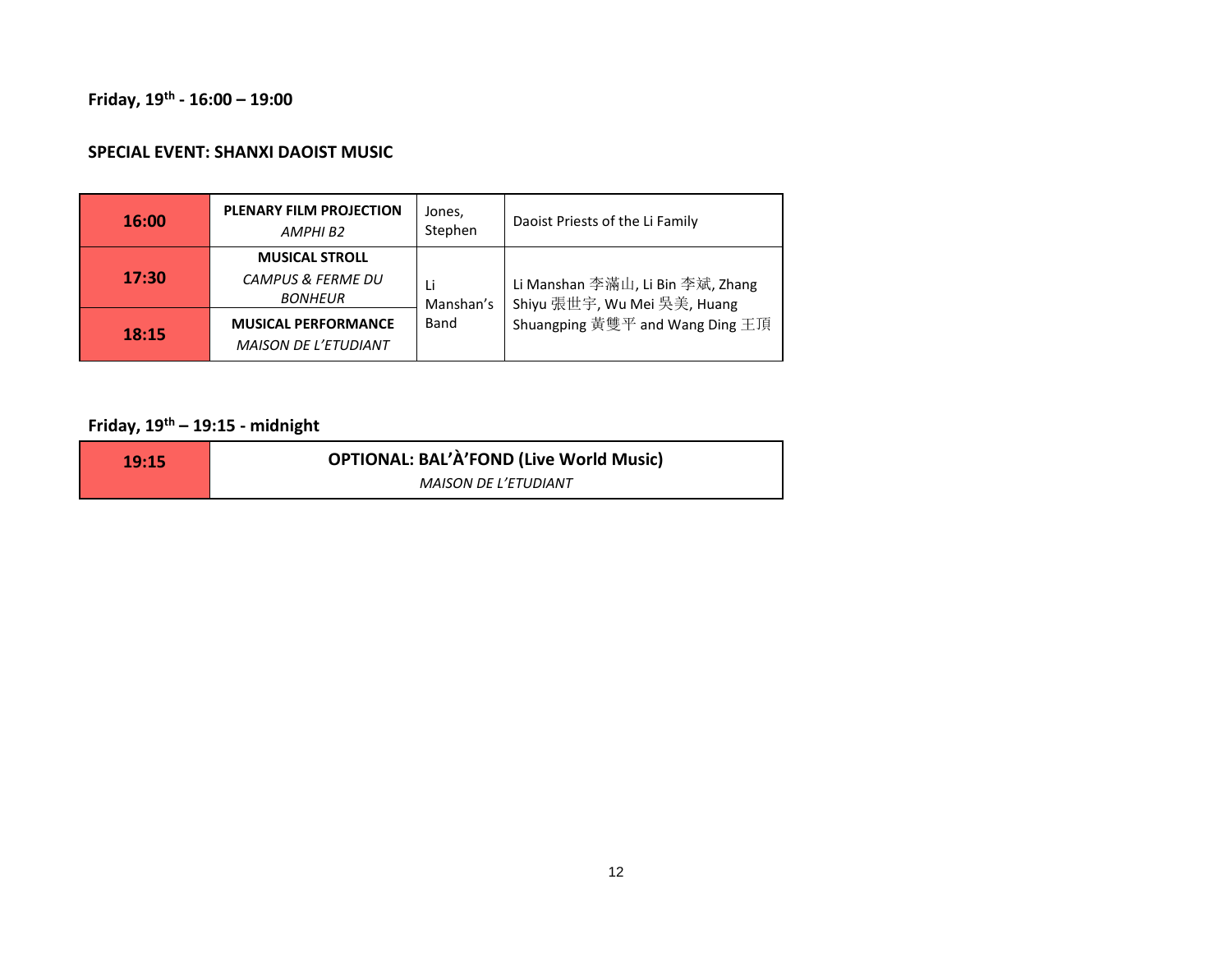#### **Friday, 19th - 16:00 – 19:00**

#### **SPECIAL EVENT: SHANXI DAOIST MUSIC**

| <b>16:00</b> | PLENARY FILM PROJECTION<br>AMPHI B2                                     | Jones,<br>Stephen                                      | Daoist Priests of the Li Family  |
|--------------|-------------------------------------------------------------------------|--------------------------------------------------------|----------------------------------|
| 17:30        | <b>MUSICAL STROLL</b><br><b>CAMPUS &amp; FERME DU</b><br><b>BONHEUR</b> | Li<br>Shiyu 張世宇, Wu Mei 吳美, Huang<br>Manshan's<br>Band | Li Manshan 李滿山, Li Bin 李斌, Zhang |
| 18:15        | <b>MUSICAL PERFORMANCE</b><br><b>MAISON DE L'ETUDIANT</b>               |                                                        | Shuangping 黃雙平 and Wang Ding 王頂  |

# **Friday, 19th – 19:15 - midnight**

| 19:15 | <b>OPTIONAL: BAL'À'FOND (Live World Music)</b> |
|-------|------------------------------------------------|
|       | <b>MAISON DE L'ETUDIANT</b>                    |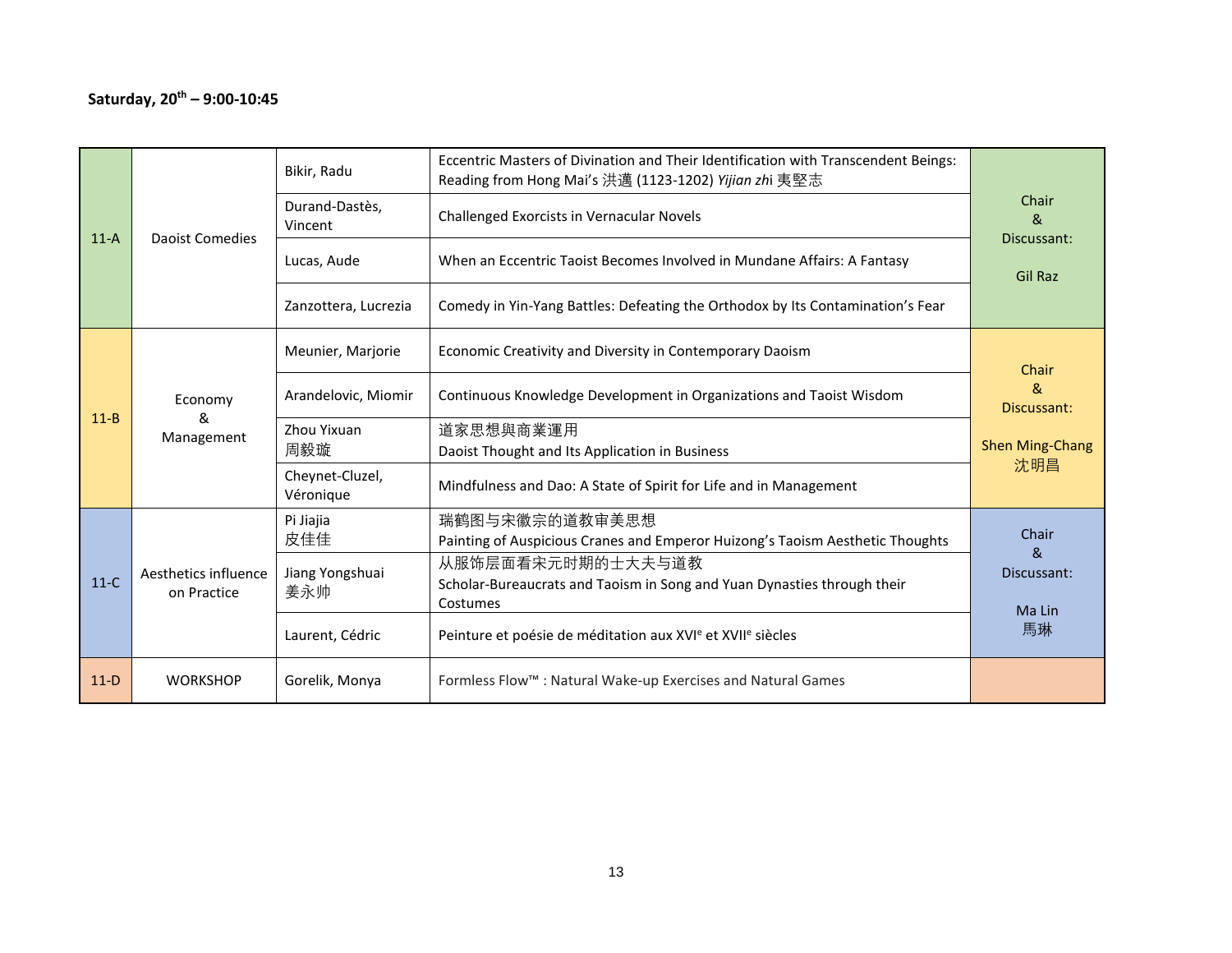| $11-A$   | <b>Daoist Comedies</b>              | Bikir, Radu                  | Eccentric Masters of Divination and Their Identification with Transcendent Beings:<br>Reading from Hong Mai's 洪邁 (1123-1202) Yijian zhi 夷堅志 |                                      |
|----------|-------------------------------------|------------------------------|---------------------------------------------------------------------------------------------------------------------------------------------|--------------------------------------|
|          |                                     | Durand-Dastès,<br>Vincent    | Challenged Exorcists in Vernacular Novels                                                                                                   | Chair<br>ጼ<br>Discussant:            |
|          |                                     | Lucas, Aude                  | When an Eccentric Taoist Becomes Involved in Mundane Affairs: A Fantasy                                                                     | <b>Gil Raz</b>                       |
|          |                                     | Zanzottera, Lucrezia         | Comedy in Yin-Yang Battles: Defeating the Orthodox by Its Contamination's Fear                                                              |                                      |
|          |                                     | Meunier, Marjorie            | Economic Creativity and Diversity in Contemporary Daoism                                                                                    | Chair                                |
| $11 - B$ | Economy<br>&<br>Management          | Arandelovic, Miomir          | Continuous Knowledge Development in Organizations and Taoist Wisdom                                                                         | &<br>Discussant:                     |
|          |                                     | Zhou Yixuan<br>周毅璇           | 道家思想與商業運用<br>Daoist Thought and Its Application in Business                                                                                 | <b>Shen Ming-Chang</b>               |
|          |                                     | Cheynet-Cluzel,<br>Véronique | Mindfulness and Dao: A State of Spirit for Life and in Management                                                                           | 沈明昌                                  |
|          |                                     | Pi Jiajia<br>皮佳佳             | 瑞鹤图与宋徽宗的道教审美思想<br>Painting of Auspicious Cranes and Emperor Huizong's Taoism Aesthetic Thoughts                                             | Chair<br>$\mathcal{R}_{\mathcal{C}}$ |
| $11-C$   | Aesthetics influence<br>on Practice | Jiang Yongshuai<br>姜永帅       | 从服饰层面看宋元时期的士大夫与道教<br>Scholar-Bureaucrats and Taoism in Song and Yuan Dynasties through their<br>Costumes                                    | Discussant:<br>Ma Lin                |
|          |                                     | Laurent, Cédric              | Peinture et poésie de méditation aux XVI <sup>e</sup> et XVII <sup>e</sup> siècles                                                          | 馬琳                                   |
| $11-D$   | <b>WORKSHOP</b>                     | Gorelik, Monya               | Formless Flow™ : Natural Wake-up Exercises and Natural Games                                                                                |                                      |